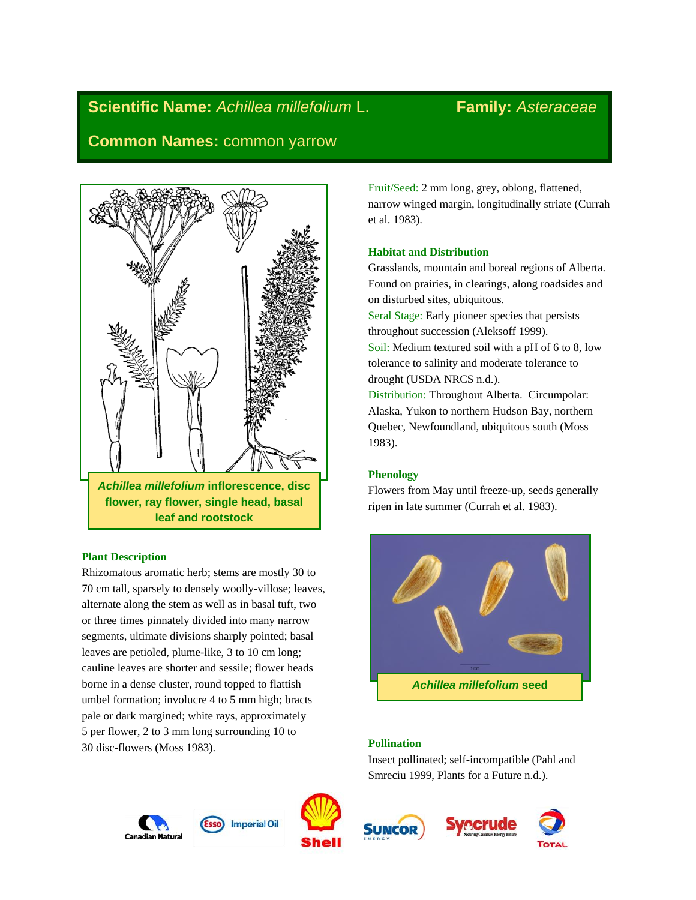# **Scientific Name:** *Achillea millefolium* L. **Family:** *Asteraceae*

**Common Names:** common yarrow



# **Plant Description**

Rhizomatous aromatic herb; stems are mostly 30 to 70 cm tall, sparsely to densely woolly-villose; leaves, alternate along the stem as well as in basal tuft, two or three times pinnately divided into many narrow segments, ultimate divisions sharply pointed; basal leaves are petioled, plume-like, 3 to 10 cm long; cauline leaves are shorter and sessile; flower heads borne in a dense cluster, round topped to flattish umbel formation; involucre 4 to 5 mm high; bracts pale or dark margined; white rays, approximately 5 per flower, 2 to 3 mm long surrounding 10 to 30 disc-flowers (Moss 1983).

Fruit/Seed: 2 mm long, grey, oblong, flattened, narrow winged margin, longitudinally striate (Currah et al. 1983).

# **Habitat and Distribution**

Grasslands, mountain and boreal regions of Alberta. Found on prairies, in clearings, along roadsides and on disturbed sites, ubiquitous.

Seral Stage: Early pioneer species that persists throughout succession (Aleksoff 1999). Soil: Medium textured soil with a pH of 6 to 8, low tolerance to salinity and moderate tolerance to drought (USDA NRCS n.d.).

Distribution: Throughout Alberta. Circumpolar: Alaska, Yukon to northern Hudson Bay, northern Quebec, Newfoundland, ubiquitous south (Moss 1983).

# **Phenology**

Flowers from May until freeze-up, seeds generally ripen in late summer (Currah et al. 1983).



# **Pollination**

Insect pollinated; self-incompatible (Pahl and Smreciu 1999, Plants for a Future n.d.).







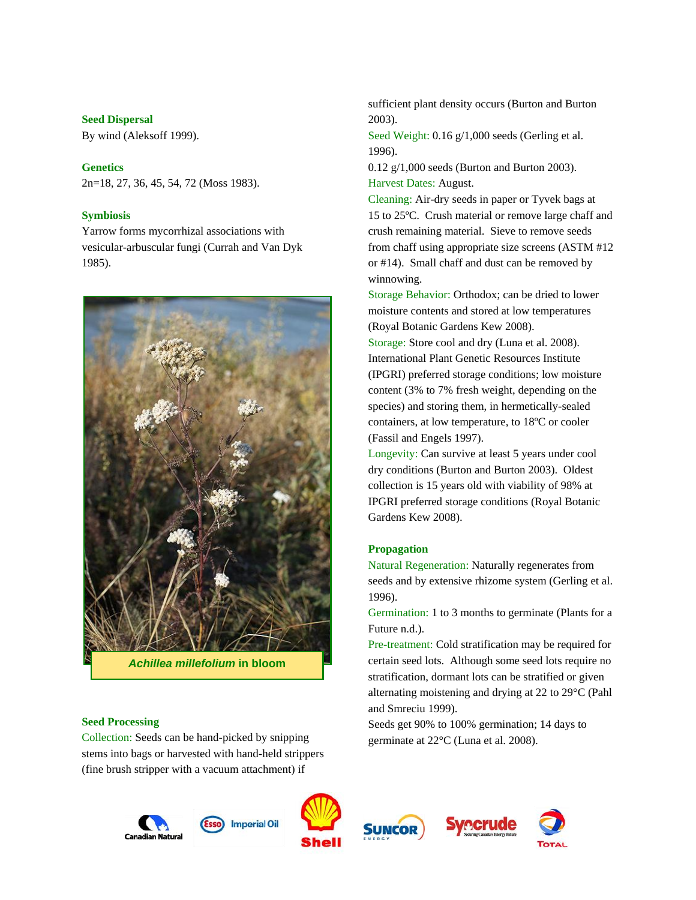### **Seed Dispersal**

By wind (Aleksoff 1999).

# **Genetics**

2n=18, 27, 36, 45, 54, 72 (Moss 1983).

### **Symbiosis**

Yarrow forms mycorrhizal associations with vesicular-arbuscular fungi (Currah and Van Dyk 1985).



*Achillea millefolium* **in bloom**

#### **Seed Processing**

Collection: Seeds can be hand-picked by snipping stems into bags or harvested with hand-held strippers (fine brush stripper with a vacuum attachment) if

sufficient plant density occurs (Burton and Burton 2003).

Seed Weight: 0.16 g/1,000 seeds (Gerling et al. 1996).

0.12 g/1,000 seeds (Burton and Burton 2003). Harvest Dates: August.

Cleaning: Air-dry seeds in paper or Tyvek bags at 15 to 25ºC. Crush material or remove large chaff and crush remaining material. Sieve to remove seeds from chaff using appropriate size screens (ASTM #12 or #14). Small chaff and dust can be removed by winnowing.

Storage Behavior: Orthodox; can be dried to lower moisture contents and stored at low temperatures (Royal Botanic Gardens Kew 2008).

Storage: Store cool and dry (Luna et al. 2008). International Plant Genetic Resources Institute (IPGRI) preferred storage conditions; low moisture content (3% to 7% fresh weight, depending on the species) and storing them, in hermetically-sealed containers, at low temperature, to 18ºC or cooler (Fassil and Engels 1997).

Longevity: Can survive at least 5 years under cool dry conditions (Burton and Burton 2003). Oldest collection is 15 years old with viability of 98% at IPGRI preferred storage conditions (Royal Botanic Gardens Kew 2008).

#### **Propagation**

Natural Regeneration: Naturally regenerates from seeds and by extensive rhizome system (Gerling et al. 1996).

Germination: 1 to 3 months to germinate (Plants for a Future n.d.).

Pre-treatment: Cold stratification may be required for certain seed lots. Although some seed lots require no stratification, dormant lots can be stratified or given alternating moistening and drying at 22 to 29°C (Pahl and Smreciu 1999).

Seeds get 90% to 100% germination; 14 days to germinate at 22°C (Luna et al. 2008).









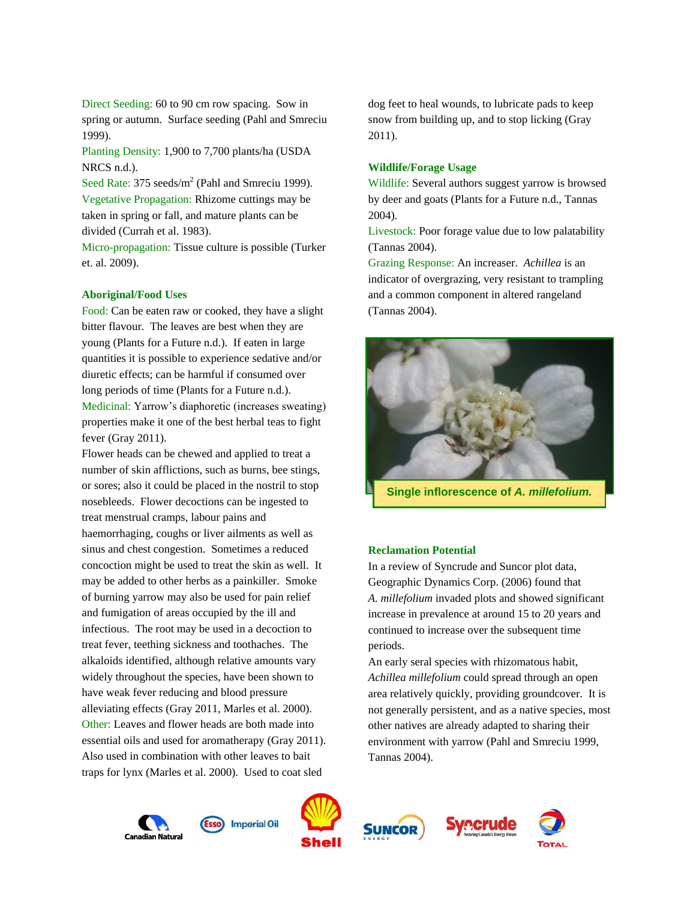Direct Seeding: 60 to 90 cm row spacing. Sow in spring or autumn. Surface seeding (Pahl and Smreciu 1999).

Planting Density: 1,900 to 7,700 plants/ha (USDA NRCS n.d.).

Seed Rate: 375 seeds/ $m^2$  (Pahl and Smreciu 1999). Vegetative Propagation: Rhizome cuttings may be taken in spring or fall, and mature plants can be divided (Currah et al. 1983).

Micro-propagation: Tissue culture is possible (Turker et. al. 2009).

#### **Aboriginal/Food Uses**

Food: Can be eaten raw or cooked, they have a slight bitter flavour. The leaves are best when they are young (Plants for a Future n.d.). If eaten in large quantities it is possible to experience sedative and/or diuretic effects; can be harmful if consumed over long periods of time (Plants for a Future n.d.). Medicinal: Yarrow's diaphoretic (increases sweating) properties make it one of the best herbal teas to fight fever (Gray 2011).

Flower heads can be chewed and applied to treat a number of skin afflictions, such as burns, bee stings, or sores; also it could be placed in the nostril to stop nosebleeds. Flower decoctions can be ingested to treat menstrual cramps, labour pains and haemorrhaging, coughs or liver ailments as well as sinus and chest congestion. Sometimes a reduced concoction might be used to treat the skin as well. It may be added to other herbs as a painkiller. Smoke of burning yarrow may also be used for pain relief and fumigation of areas occupied by the ill and infectious. The root may be used in a decoction to treat fever, teething sickness and toothaches. The alkaloids identified, although relative amounts vary widely throughout the species, have been shown to have weak fever reducing and blood pressure alleviating effects (Gray 2011, Marles et al. 2000). Other: Leaves and flower heads are both made into essential oils and used for aromatherapy (Gray 2011). Also used in combination with other leaves to bait traps for lynx (Marles et al. 2000). Used to coat sled

dog feet to heal wounds, to lubricate pads to keep snow from building up, and to stop licking (Gray 2011).

#### **Wildlife/Forage Usage**

Wildlife: Several authors suggest yarrow is browsed by deer and goats (Plants for a Future n.d., Tannas 2004).

Livestock: Poor forage value due to low palatability (Tannas 2004).

Grazing Response: An increaser. *Achillea* is an indicator of overgrazing, very resistant to trampling and a common component in altered rangeland (Tannas 2004).



**Single inflorescence of** *A. millefolium.*

## **Reclamation Potential**

In a review of Syncrude and Suncor plot data, Geographic Dynamics Corp. (2006) found that *A. millefolium* invaded plots and showed significant increase in prevalence at around 15 to 20 years and continued to increase over the subsequent time periods.

An early seral species with rhizomatous habit, *Achillea millefolium* could spread through an open area relatively quickly, providing groundcover. It is not generally persistent, and as a native species, most other natives are already adapted to sharing their environment with yarrow (Pahl and Smreciu 1999, Tannas 2004).









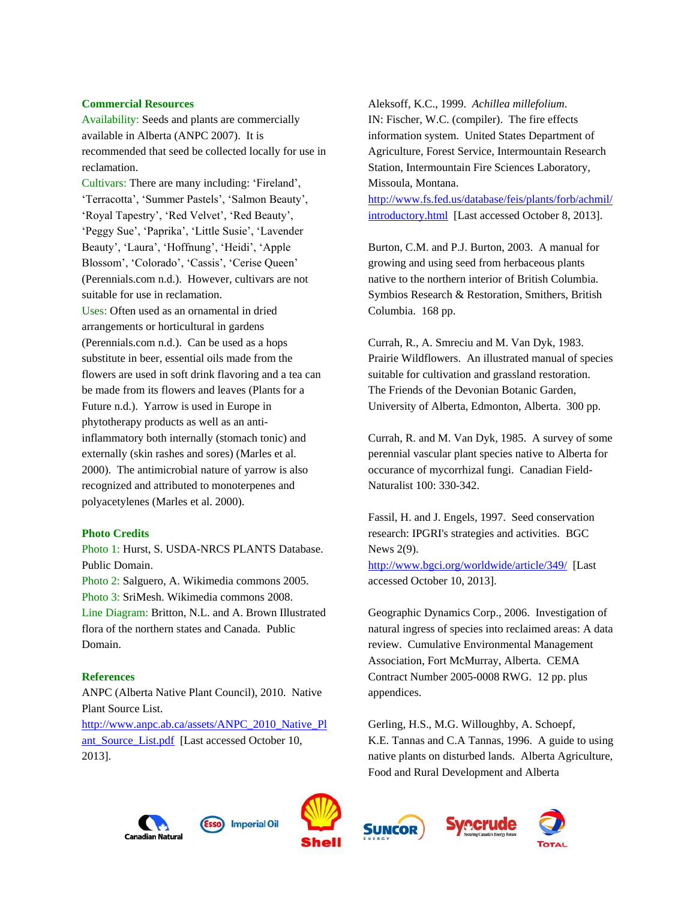#### **Commercial Resources**

Availability: Seeds and plants are commercially available in Alberta (ANPC 2007). It is recommended that seed be collected locally for use in reclamation.

Cultivars: There are many including: 'Fireland', 'Terracotta', 'Summer Pastels', 'Salmon Beauty', 'Royal Tapestry', 'Red Velvet', 'Red Beauty', 'Peggy Sue', 'Paprika', 'Little Susie', 'Lavender Beauty', 'Laura', 'Hoffnung', 'Heidi', 'Apple Blossom', 'Colorado', 'Cassis', 'Cerise Queen' (Perennials.com n.d.). However, cultivars are not suitable for use in reclamation.

Uses: Often used as an ornamental in dried arrangements or horticultural in gardens (Perennials.com n.d.). Can be used as a hops substitute in beer, essential oils made from the flowers are used in soft drink flavoring and a tea can be made from its flowers and leaves (Plants for a Future n.d.). Yarrow is used in Europe in phytotherapy products as well as an antiinflammatory both internally (stomach tonic) and externally (skin rashes and sores) (Marles et al. 2000). The antimicrobial nature of yarrow is also recognized and attributed to monoterpenes and polyacetylenes (Marles et al. 2000).

#### **Photo Credits**

Photo 1: Hurst, S. USDA-NRCS PLANTS Database. Public Domain.

Photo 2: Salguero, A. Wikimedia commons 2005. Photo 3: SriMesh. Wikimedia commons 2008. Line Diagram: Britton, N.L. and A. Brown Illustrated flora of the northern states and Canada. Public Domain.

#### **References**

ANPC (Alberta Native Plant Council), 2010. Native Plant Source List. [http://www.anpc.ab.ca/assets/ANPC\\_2010\\_Native\\_Pl](http://www.anpc.ab.ca/assets/ANPC_2010_Native_Plant_Source_List.pdf) ant Source List.pdf [Last accessed October 10, 2013].

Aleksoff, K.C., 1999. *Achillea millefolium*. IN: Fischer, W.C. (compiler). The fire effects information system. United States Department of Agriculture, Forest Service, Intermountain Research Station, Intermountain Fire Sciences Laboratory, Missoula, Montana.

[http://www.fs.fed.us/database/feis/plants/forb/achmil/](http://www.fs.fed.us/database/feis/plants/forb/achmil/introductory.html) [introductory.html](http://www.fs.fed.us/database/feis/plants/forb/achmil/introductory.html) [Last accessed October 8, 2013].

Burton, C.M. and P.J. Burton, 2003. A manual for growing and using seed from herbaceous plants native to the northern interior of British Columbia. Symbios Research & Restoration, Smithers, British Columbia. 168 pp.

Currah, R., A. Smreciu and M. Van Dyk, 1983. Prairie Wildflowers. An illustrated manual of species suitable for cultivation and grassland restoration. The Friends of the Devonian Botanic Garden, University of Alberta, Edmonton, Alberta. 300 pp.

Currah, R. and M. Van Dyk, 1985. A survey of some perennial vascular plant species native to Alberta for occurance of mycorrhizal fungi. Canadian Field-Naturalist 100: 330-342.

Fassil, H. and J. Engels, 1997. Seed conservation research: IPGRI's strategies and activities. BGC News 2(9). <http://www.bgci.org/worldwide/article/349/>[Last

accessed October 10, 2013].

Geographic Dynamics Corp., 2006. Investigation of natural ingress of species into reclaimed areas: A data review. Cumulative Environmental Management Association, Fort McMurray, Alberta. CEMA Contract Number 2005-0008 RWG. 12 pp. plus appendices.

Gerling, H.S., M.G. Willoughby, A. Schoepf, K.E. Tannas and C.A Tannas, 1996. A guide to using native plants on disturbed lands. Alberta Agriculture, Food and Rural Development and Alberta

recrude